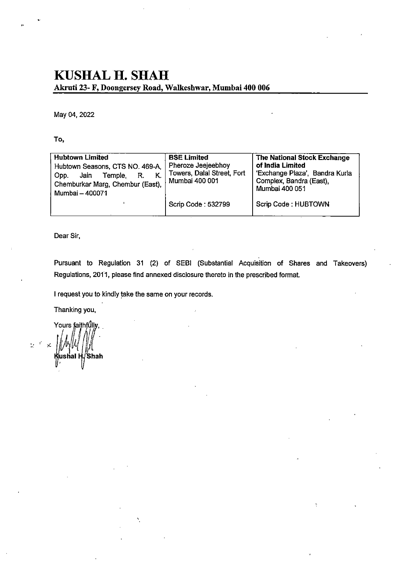## KUSHAL H. SHAH Akniti 23- F, Doongersey Road, Walkeshwar, Mumbai 400 006

May 04, 2022

To,

| <b>Hubtown Limited</b><br>Hubtown Seasons, CTS NO. 469-A.<br>Κ.<br>Jain<br>Temple,<br>Opp.<br>R.<br>Chemburkar Marg, Chembur (East),<br>Mumbai - 400071 | <b>BSE Limited</b><br>Pheroze Jeejeebhoy<br>Towers, Dalal Street, Fort<br>Mumbai 400 001 | <b>The National Stock Exchange</b><br>of India Limited<br>'Exchange Plaza', Bandra Kurla<br>Complex, Bandra (East),<br>Mumbai 400 051 |
|---------------------------------------------------------------------------------------------------------------------------------------------------------|------------------------------------------------------------------------------------------|---------------------------------------------------------------------------------------------------------------------------------------|
|                                                                                                                                                         | Scrip Code: 532799                                                                       | Scrip Code: HUBTOWN                                                                                                                   |

Dear Sir,

Pursuant to Regulation 31 (2) of SEBl (Substantial Acquisition of Shares and Takeovers) Regulations, 2011, please find annexed disclosure thereto in the prescribed format.

I request you to kindly take the same on your records.

Thanking you.

Yours faithfully,  $\mathbb{R}^2$  $\prec$ ushal H./Shah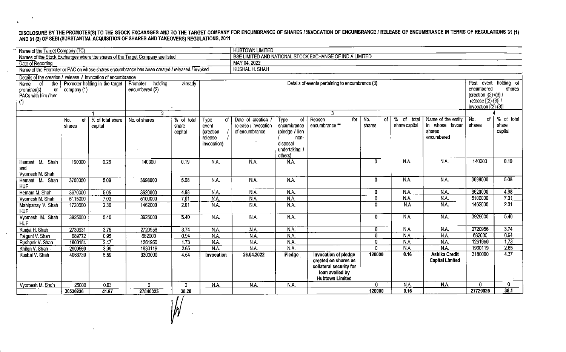## DISCLOSURE BY THE PROMOTER(S) TO THE STOCK EXCHANGES AND TO THE TARGET COMPANY FOR ENCUMBRANCE OF SHARES / INVOCATION OF ENCUMBRANCE / RELEASE OF ENCUMBRANCE IN TERMS OF REGULATIONS 31 (1) AND 31 (2) OF SEBI (SUBSTANTIAL ACQUISITION OF SHARES AND TAKEOVERS) REGULATIONS, 2011

 $\mathbf{r}$ 

 $\ddot{\phantom{1}}$ 

 $\sim$ 

| Name of the Target Company (TC)                                                               |                               |                                |                     |                                  |                                                                    | <b>HUBTOWN LIMITED</b>                                       |                                                                                             |                                                                                                                      |                     |                                |                                                               |                          |                                                                                               |  |  |
|-----------------------------------------------------------------------------------------------|-------------------------------|--------------------------------|---------------------|----------------------------------|--------------------------------------------------------------------|--------------------------------------------------------------|---------------------------------------------------------------------------------------------|----------------------------------------------------------------------------------------------------------------------|---------------------|--------------------------------|---------------------------------------------------------------|--------------------------|-----------------------------------------------------------------------------------------------|--|--|
| Names of the Stock Exchanges where the shares of the Target Company are listed                |                               |                                |                     |                                  |                                                                    | BSE LIMITED AND NATIONAL STOCK EXCHANGE OF INDIA LIMITED     |                                                                                             |                                                                                                                      |                     |                                |                                                               |                          |                                                                                               |  |  |
| Date of Reporting                                                                             |                               |                                |                     |                                  |                                                                    |                                                              | MAY 04, 2022                                                                                |                                                                                                                      |                     |                                |                                                               |                          |                                                                                               |  |  |
| Name of the Promoter or PAC on whose shares encumbrance has been created / released / invoked |                               |                                |                     |                                  |                                                                    | <b>KUSHAL H. SHAH</b>                                        |                                                                                             |                                                                                                                      |                     |                                |                                                               |                          |                                                                                               |  |  |
| Details of the creation / release / invocation of encumbrance                                 |                               |                                |                     |                                  |                                                                    |                                                              |                                                                                             |                                                                                                                      |                     |                                |                                                               |                          |                                                                                               |  |  |
| <b>Name</b><br>of<br>the                                                                      |                               | Promoter holding in the target | holding<br>Promoter | already                          |                                                                    |                                                              |                                                                                             | Details of events pertaining to encumbrance (3)                                                                      |                     |                                |                                                               | event holding of<br>Post |                                                                                               |  |  |
| promoter(s)<br>or<br>PACs with him / her<br>(                                                 | company (1)<br>encumbered (2) |                                |                     |                                  |                                                                    |                                                              |                                                                                             |                                                                                                                      |                     |                                |                                                               |                          | encumbered<br>shares<br>[creation $[(2)+(3)$ /<br>release [(2)-(3)] /<br>invocation [(2)-(3)] |  |  |
|                                                                                               |                               |                                | $\mathcal{P}$       |                                  |                                                                    |                                                              |                                                                                             |                                                                                                                      |                     |                                |                                                               |                          |                                                                                               |  |  |
|                                                                                               | No.<br><b>of</b><br>shares    | % of total share<br>capital    | No. of shares       | $%$ of total<br>share<br>capital | <b>Type</b><br>of.<br>event<br>(creation<br>release<br>invocation) | Date of creation /<br>release / invocation<br>of encumbrance | of<br>Type<br>encumbrance<br>(pledge / lien<br>non-<br>disposal<br>undertaking /<br>others) | Reason<br>for<br>encumbrance**                                                                                       | of<br>No.<br>shares | % of<br>total<br>share capital | Name of the entity<br>in whose favour<br>shares<br>encumbered | of I<br>No.<br>shares    | % of total<br>share<br>capital                                                                |  |  |
| Hemant M. Shah<br>and<br>Vyomesh M. Shah                                                      | 190000                        | 0.26                           | 140000              | 0.19                             | NA.                                                                | $\overline{NA}$                                              | N.A.                                                                                        |                                                                                                                      | $\Omega$            | N.A.                           | N.A.                                                          | 140000                   | 0.19                                                                                          |  |  |
| Hemant M. Shah<br><b>HUF</b>                                                                  | 3700050                       | 5.09                           | 3698000             | 5.08                             | N.A.                                                               | N.A.                                                         | N.A.                                                                                        |                                                                                                                      | $\mathbf{0}$        | N.A.                           | N.A.                                                          | 3698000                  | 5.08                                                                                          |  |  |
| Hemant M. Shah                                                                                | 3670000                       | 5.05                           | 3620000             | 4.98                             | N.A                                                                | N.A.                                                         | N.A.                                                                                        |                                                                                                                      | $\mathbf{0}$        | NA.                            | NA.                                                           | 3620000                  | 4.98                                                                                          |  |  |
| Vyomesh M. Shah                                                                               | 5115000                       | 7.03                           | 5100000             | 7.01                             | N.A                                                                | N.A.                                                         | N.A.                                                                                        |                                                                                                                      | $\Omega$            | N.A.                           | N.A.                                                          | 5100000                  | 7.01                                                                                          |  |  |
| Mahipatray V. Shah<br><b>HUF</b>                                                              | 1720000                       | 2.36                           | 1462000             | 2.01                             | N.A.                                                               | NA                                                           | N.A.                                                                                        |                                                                                                                      | $\Omega$            | N.A                            | N.A.                                                          | 1462000                  | 2.01                                                                                          |  |  |
| Vyomesh M. Shah<br><b>HUF</b>                                                                 | 3925000                       | 5.40                           | 3925000             | 5.40                             | N.A.                                                               | N.A.                                                         | N.A.                                                                                        |                                                                                                                      | $\bf{0}$            | N.A.                           | N.A.                                                          | 3925000                  | 5.40                                                                                          |  |  |
| Kunjal H. Shah                                                                                | 2730931                       | 3.75                           | 2720956             | 3.74                             | N.A.                                                               | N.A.                                                         | N.A.                                                                                        |                                                                                                                      | $\Omega$            | N.A.                           | N.A.                                                          | 2720956                  | 3.74                                                                                          |  |  |
| Falguni V. Shah                                                                               | 689772                        | 0.95                           | 682000              | 0.94                             | N.A.                                                               | $\overline{\mathsf{NA}}$                                     | NA.                                                                                         |                                                                                                                      | $\Omega$            | N.A.                           | N.A.                                                          | 682000                   | 0.94                                                                                          |  |  |
| Rushank V. Shah                                                                               | 1800184                       | $\overline{2.47}$              | 1261950             | 1.73                             | $\overline{\mathsf{NA}}$                                           | N.A.                                                         | N.A.                                                                                        |                                                                                                                      | Ω                   | N.A.                           | N.A.                                                          | 1261950                  | 1.73                                                                                          |  |  |
| Khilen V. Shah                                                                                | 2900560                       | 3.99                           | 1930119             | 2.65                             | N.A.                                                               | N.A.                                                         | N.A.                                                                                        |                                                                                                                      | $\overline{0}$      | N.A.                           | N.A.                                                          | 1930119                  | 2.65                                                                                          |  |  |
| Kushal V. Shah                                                                                | 4063739                       | 5.59                           | 3300000             | 454                              | Invocation                                                         | 26.04.2022                                                   | Pledge                                                                                      | Invocation of pledge<br>created on shares as<br>collateral security for<br>loan availed by<br><b>Hubtown Limited</b> | 120000              | 0.16                           | <b>Ashika Credit</b><br><b>Capital Limited</b>                | 3180000                  | 4.37                                                                                          |  |  |
| Vyomesh M. Shah                                                                               | 25000                         | 0.03                           | 0                   | 0                                | N.A.                                                               | N.A.                                                         | N.A.                                                                                        |                                                                                                                      | $\mathbf{0}$        | N.A.                           | N.A.                                                          | $\mathbf{0}$             | $\mathbf{0}$                                                                                  |  |  |
|                                                                                               | 30530236                      | 41.97                          | 27840025            | 38.28                            |                                                                    |                                                              |                                                                                             |                                                                                                                      | 120000              | 0.16                           |                                                               | 27720025                 | 38.1                                                                                          |  |  |